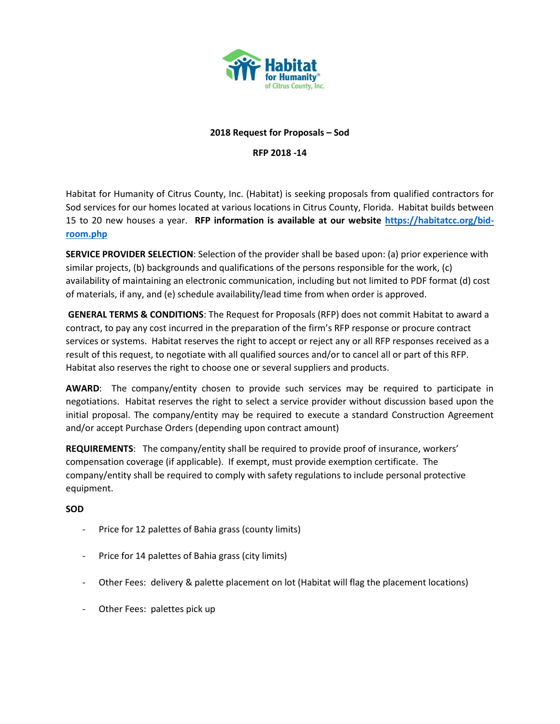

# **2018 Request for Proposals – Sod**

**RFP 2018 -14**

Habitat for Humanity of Citrus County, Inc. (Habitat) is seeking proposals from qualified contractors for Sod services for our homes located at various locations in Citrus County, Florida. Habitat builds between 15 to 20 new houses a year. **RFP information is available at our website [https://habitatcc.org/bid](https://habitatcc.org/bid-room.php)[room.php](https://habitatcc.org/bid-room.php)** 

**SERVICE PROVIDER SELECTION**: Selection of the provider shall be based upon: (a) prior experience with similar projects, (b) backgrounds and qualifications of the persons responsible for the work, (c) availability of maintaining an electronic communication, including but not limited to PDF format (d) cost of materials, if any, and (e) schedule availability/lead time from when order is approved.

**GENERAL TERMS & CONDITIONS**: The Request for Proposals (RFP) does not commit Habitat to award a contract, to pay any cost incurred in the preparation of the firm's RFP response or procure contract services or systems. Habitat reserves the right to accept or reject any or all RFP responses received as a result of this request, to negotiate with all qualified sources and/or to cancel all or part of this RFP. Habitat also reserves the right to choose one or several suppliers and products.

**AWARD**: The company/entity chosen to provide such services may be required to participate in negotiations. Habitat reserves the right to select a service provider without discussion based upon the initial proposal. The company/entity may be required to execute a standard Construction Agreement and/or accept Purchase Orders (depending upon contract amount)

**REQUIREMENTS**: The company/entity shall be required to provide proof of insurance, workers' compensation coverage (if applicable). If exempt, must provide exemption certificate. The company/entity shall be required to comply with safety regulations to include personal protective equipment.

# **SOD**

- Price for 12 palettes of Bahia grass (county limits)
- Price for 14 palettes of Bahia grass (city limits)
- Other Fees: delivery & palette placement on lot (Habitat will flag the placement locations)
- Other Fees: palettes pick up